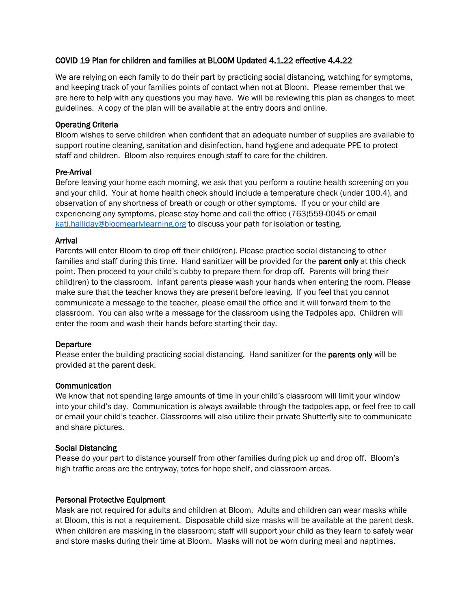## COVID 19 Plan for children and families at BLOOM Updated 4.1.22 effective 4.4.22

We are relying on each family to do their part by practicing social distancing, watching for symptoms, and keeping track of your families points of contact when not at Bloom. Please remember that we are here to help with any questions you may have. We will be reviewing this plan as changes to meet guidelines. A copy of the plan will be available at the entry doors and online.

### Operating Criteria

Bloom wishes to serve children when confident that an adequate number of supplies are available to support routine cleaning, sanitation and disinfection, hand hygiene and adequate PPE to protect staff and children. Bloom also requires enough staff to care for the children.

## Pre-Arrival

Before leaving your home each morning, we ask that you perform a routine health screening on you and your child. Your at home health check should include a temperature check (under 100.4), and observation of any shortness of breath or cough or other symptoms. If you or your child are experiencing any symptoms, please stay home and call the office (763)559-0045 or email [kati.halliday@bloomearlylearning.org](mailto:kati.halliday@bloomearlylearning.org) to discuss your path for isolation or testing.

### Arrival

Parents will enter Bloom to drop off their child(ren). Please practice social distancing to other families and staff during this time. Hand sanitizer will be provided for the **parent only** at this check point. Then proceed to your child's cubby to prepare them for drop off. Parents will bring their child(ren) to the classroom. Infant parents please wash your hands when entering the room. Please make sure that the teacher knows they are present before leaving. If you feel that you cannot communicate a message to the teacher, please email the office and it will forward them to the classroom. You can also write a message for the classroom using the Tadpoles app. Children will enter the room and wash their hands before starting their day.

### Departure

Please enter the building practicing social distancing. Hand sanitizer for the parents only will be provided at the parent desk.

### **Communication**

We know that not spending large amounts of time in your child's classroom will limit your window into your child's day. Communication is always available through the tadpoles app, or feel free to call or email your child's teacher. Classrooms will also utilize their private Shutterfly site to communicate and share pictures.

### Social Distancing

Please do your part to distance yourself from other families during pick up and drop off. Bloom's high traffic areas are the entryway, totes for hope shelf, and classroom areas.

### Personal Protective Equipment

Mask are not required for adults and children at Bloom. Adults and children can wear masks while at Bloom, this is not a requirement. Disposable child size masks will be available at the parent desk. When children are masking in the classroom; staff will support your child as they learn to safely wear and store masks during their time at Bloom. Masks will not be worn during meal and naptimes.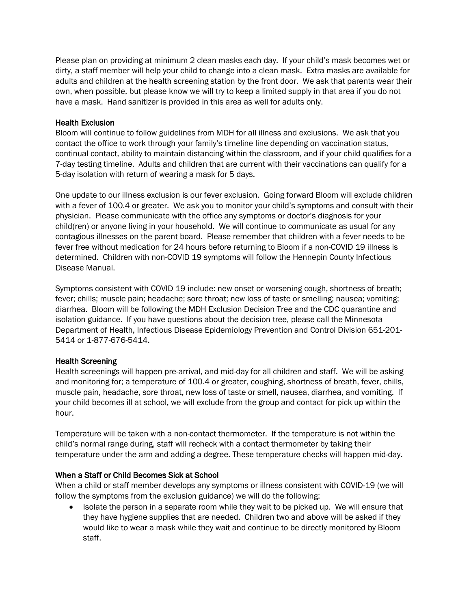Please plan on providing at minimum 2 clean masks each day. If your child's mask becomes wet or dirty, a staff member will help your child to change into a clean mask. Extra masks are available for adults and children at the health screening station by the front door. We ask that parents wear their own, when possible, but please know we will try to keep a limited supply in that area if you do not have a mask. Hand sanitizer is provided in this area as well for adults only.

## Health Exclusion

Bloom will continue to follow guidelines from MDH for all illness and exclusions. We ask that you contact the office to work through your family's timeline line depending on vaccination status, continual contact, ability to maintain distancing within the classroom, and if your child qualifies for a 7-day testing timeline. Adults and children that are current with their vaccinations can qualify for a 5-day isolation with return of wearing a mask for 5 days.

One update to our illness exclusion is our fever exclusion. Going forward Bloom will exclude children with a fever of 100.4 or greater. We ask you to monitor your child's symptoms and consult with their physician. Please communicate with the office any symptoms or doctor's diagnosis for your child(ren) or anyone living in your household. We will continue to communicate as usual for any contagious illnesses on the parent board. Please remember that children with a fever needs to be fever free without medication for 24 hours before returning to Bloom if a non-COVID 19 illness is determined. Children with non-COVID 19 symptoms will follow the Hennepin County Infectious Disease Manual.

Symptoms consistent with COVID 19 include: new onset or worsening cough, shortness of breath; fever; chills; muscle pain; headache; sore throat; new loss of taste or smelling; nausea; vomiting; diarrhea. Bloom will be following the MDH Exclusion Decision Tree and the CDC quarantine and isolation guidance. If you have questions about the decision tree, please call the Minnesota Department of Health, Infectious Disease Epidemiology Prevention and Control Division 651-201- 5414 or 1-877-676-5414.

# Health Screening

Health screenings will happen pre-arrival, and mid-day for all children and staff. We will be asking and monitoring for; a temperature of 100.4 or greater, coughing, shortness of breath, fever, chills, muscle pain, headache, sore throat, new loss of taste or smell, nausea, diarrhea, and vomiting. If your child becomes ill at school, we will exclude from the group and contact for pick up within the hour.

Temperature will be taken with a non-contact thermometer. If the temperature is not within the child's normal range during, staff will recheck with a contact thermometer by taking their temperature under the arm and adding a degree. These temperature checks will happen mid-day.

# When a Staff or Child Becomes Sick at School

When a child or staff member develops any symptoms or illness consistent with COVID-19 (we will follow the symptoms from the exclusion guidance) we will do the following:

• Isolate the person in a separate room while they wait to be picked up. We will ensure that they have hygiene supplies that are needed. Children two and above will be asked if they would like to wear a mask while they wait and continue to be directly monitored by Bloom staff.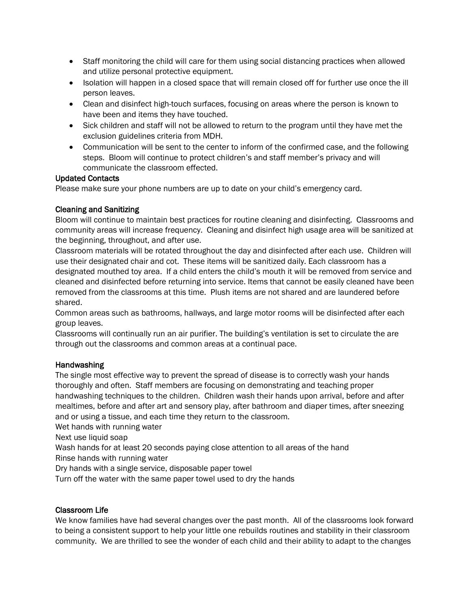- Staff monitoring the child will care for them using social distancing practices when allowed and utilize personal protective equipment.
- Isolation will happen in a closed space that will remain closed off for further use once the ill person leaves.
- Clean and disinfect high-touch surfaces, focusing on areas where the person is known to have been and items they have touched.
- Sick children and staff will not be allowed to return to the program until they have met the exclusion guidelines criteria from MDH.
- Communication will be sent to the center to inform of the confirmed case, and the following steps. Bloom will continue to protect children's and staff member's privacy and will communicate the classroom effected.

# Updated Contacts

Please make sure your phone numbers are up to date on your child's emergency card.

# Cleaning and Sanitizing

Bloom will continue to maintain best practices for routine cleaning and disinfecting. Classrooms and community areas will increase frequency. Cleaning and disinfect high usage area will be sanitized at the beginning, throughout, and after use.

Classroom materials will be rotated throughout the day and disinfected after each use. Children will use their designated chair and cot. These items will be sanitized daily. Each classroom has a designated mouthed toy area. If a child enters the child's mouth it will be removed from service and cleaned and disinfected before returning into service. Items that cannot be easily cleaned have been removed from the classrooms at this time. Plush items are not shared and are laundered before shared.

Common areas such as bathrooms, hallways, and large motor rooms will be disinfected after each group leaves.

Classrooms will continually run an air purifier. The building's ventilation is set to circulate the are through out the classrooms and common areas at a continual pace.

# **Handwashing**

The single most effective way to prevent the spread of disease is to correctly wash your hands thoroughly and often. Staff members are focusing on demonstrating and teaching proper handwashing techniques to the children. Children wash their hands upon arrival, before and after mealtimes, before and after art and sensory play, after bathroom and diaper times, after sneezing and or using a tissue, and each time they return to the classroom.

Wet hands with running water

Next use liquid soap

Wash hands for at least 20 seconds paying close attention to all areas of the hand

Rinse hands with running water

Dry hands with a single service, disposable paper towel

Turn off the water with the same paper towel used to dry the hands

# Classroom Life

We know families have had several changes over the past month. All of the classrooms look forward to being a consistent support to help your little one rebuilds routines and stability in their classroom community. We are thrilled to see the wonder of each child and their ability to adapt to the changes